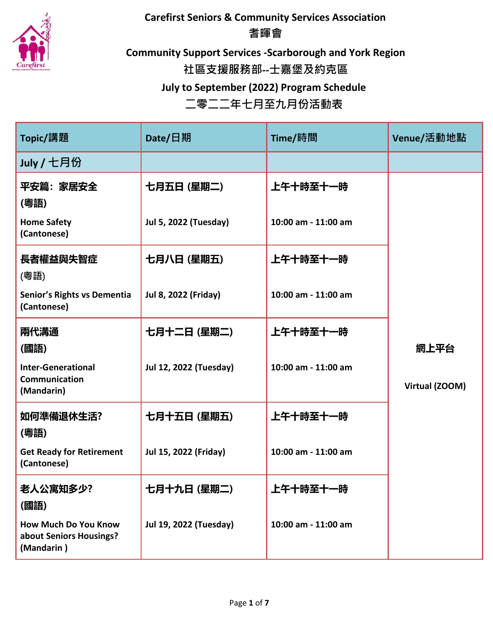

**Carefirst Seniors & Community Services Association 耆暉會**

**Community Support Services -Scarborough and York Region 社區支援服務部--士嘉堡及約克區 July to September (2022) Program Schedule**

| Topic/講題                                                      | Date/日期                       | Time/時間             | Venue/活動地點     |
|---------------------------------------------------------------|-------------------------------|---------------------|----------------|
| July / 七月份                                                    |                               |                     |                |
| 平安篇:家居安全<br>(粵語)                                              | 七月五日 (星期二)                    | 上午十時至十一時            |                |
| <b>Home Safety</b><br>(Cantonese)                             | <b>Jul 5, 2022 (Tuesday)</b>  | 10:00 am - 11:00 am |                |
| 長者權益與失智症<br>(粵語)                                              | 七月八日 (星期五)                    | 上午十時至十一時            |                |
| Senior's Rights vs Dementia<br>(Cantonese)                    | <b>Jul 8, 2022 (Friday)</b>   | 10:00 am - 11:00 am |                |
| 兩代溝通<br>(國語)                                                  | 七月十二日 (星期二)                   | 上午十時至十一時            | 網上平台           |
| <b>Inter-Generational</b><br>Communication<br>(Mandarin)      | <b>Jul 12, 2022 (Tuesday)</b> | 10:00 am - 11:00 am | Virtual (ZOOM) |
| 如何準備退休生活?<br>(粵語)                                             | 七月十五日 (星期五)                   | 上午十時至十一時            |                |
| <b>Get Ready for Retirement</b><br>(Cantonese)                | Jul 15, 2022 (Friday)         | 10:00 am - 11:00 am |                |
| 老人公寓知多少?<br>(國語)                                              | 七月十九日 (星期二)                   | 上午十時至十一時            |                |
| How Much Do You Know<br>about Seniors Housings?<br>(Mandarin) | Jul 19, 2022 (Tuesday)        | 10:00 am - 11:00 am |                |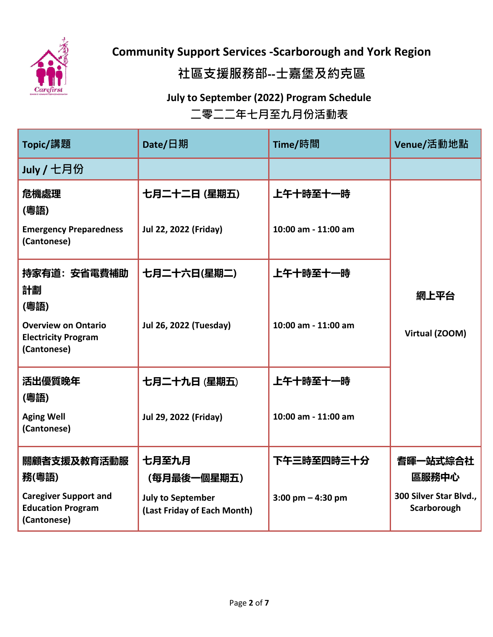

# **社區支援服務部--士嘉堡及約克區**

### **July to September (2022) Program Schedule 二零二二年七月至九月份活動表**

| Topic/講題                                                                | Date/日期                                                 | Time/時間             | Venue/活動地點                            |
|-------------------------------------------------------------------------|---------------------------------------------------------|---------------------|---------------------------------------|
| July / 七月份                                                              |                                                         |                     |                                       |
| 危機處理<br>(粵語)                                                            | 七月二十二日 (星期五)                                            | 上午十時至十一時            |                                       |
| <b>Emergency Preparedness</b><br>(Cantonese)                            | Jul 22, 2022 (Friday)                                   | 10:00 am - 11:00 am |                                       |
| 持家有道: 安省電費補助                                                            | 七月二十六日(星期二)                                             | 上午十時至十一時            |                                       |
| 計劃<br>(粵語)                                                              |                                                         |                     | 網上平台                                  |
| <b>Overview on Ontario</b><br><b>Electricity Program</b><br>(Cantonese) | <b>Jul 26, 2022 (Tuesday)</b>                           | 10:00 am - 11:00 am | Virtual (ZOOM)                        |
| 活出優質晚年<br>(粵語)                                                          | 七月二十九日 (星期五)                                            | 上午十時至十一時            |                                       |
| <b>Aging Well</b><br>(Cantonese)                                        | Jul 29, 2022 (Friday)                                   | 10:00 am - 11:00 am |                                       |
| 關顧者支援及教育活動服<br>務(粵語)                                                    | 七月至九月<br>(每月最後一個星期五)                                    | 下午三時至四時三十分          | 耆暉一站式綜合社<br>區服務中心                     |
| <b>Caregiver Support and</b><br><b>Education Program</b><br>(Cantonese) | <b>July to September</b><br>(Last Friday of Each Month) | 3:00 pm $-$ 4:30 pm | 300 Silver Star Blvd.,<br>Scarborough |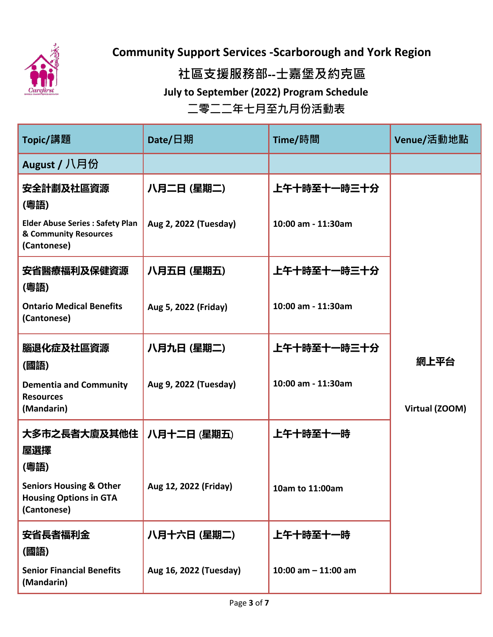

**社區支援服務部--士嘉堡及約克區**

**July to September (2022) Program Schedule**

| Topic/講題                                                                           | Date/日期                | Time/時間               | Venue/活動地點     |
|------------------------------------------------------------------------------------|------------------------|-----------------------|----------------|
| August / 八月份                                                                       |                        |                       |                |
| 安全計劃及社區資源<br>(粵語)                                                                  | 八月二日 (星期二)             | 上午十時至十一時三十分           |                |
| <b>Elder Abuse Series: Safety Plan</b><br>& Community Resources<br>(Cantonese)     | Aug 2, 2022 (Tuesday)  | 10:00 am - 11:30am    |                |
| 安省醫療福利及保健資源<br>(粵語)                                                                | 八月五日 (星期五)             | 上午十時至十一時三十分           |                |
| <b>Ontario Medical Benefits</b><br>(Cantonese)                                     | Aug 5, 2022 (Friday)   | 10:00 am - 11:30am    |                |
| 腦退化症及社區資源<br>(國語)                                                                  | 八月九日 (星期二)             | 上午十時至十一時三十分           | 網上平台           |
| <b>Dementia and Community</b><br><b>Resources</b><br>(Mandarin)                    | Aug 9, 2022 (Tuesday)  | 10:00 am - 11:30am    | Virtual (ZOOM) |
| 大多市之長者大廈及其他住<br>屋選擇<br>(粵語)                                                        | 八月十二日 (星期五)            | 上午十時至十一時              |                |
| <b>Seniors Housing &amp; Other</b><br><b>Housing Options in GTA</b><br>(Cantonese) | Aug 12, 2022 (Friday)  | 10am to 11:00am       |                |
| 安省長者福利金<br>(國語)                                                                    | 八月十六日 (星期二)            | 上午十時至十一時              |                |
| <b>Senior Financial Benefits</b><br>(Mandarin)                                     | Aug 16, 2022 (Tuesday) | 10:00 am $-$ 11:00 am |                |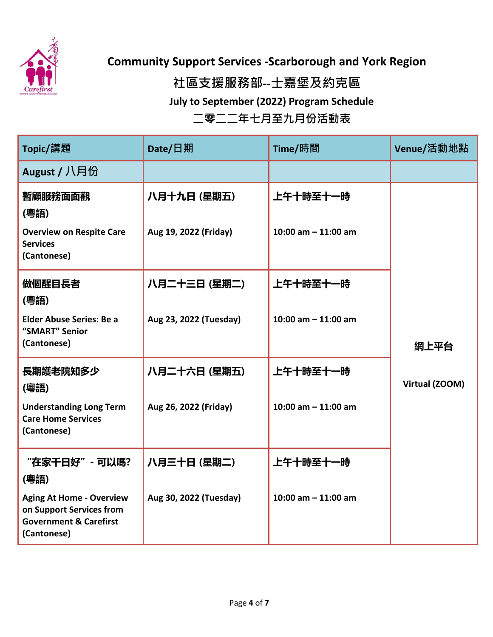

### **社區支援服務部--士嘉堡及約克區**

**July to September (2022) Program Schedule**

| Topic/講題                                                                                                        | Date/日期                | Time/時間               | Venue/活動地點     |
|-----------------------------------------------------------------------------------------------------------------|------------------------|-----------------------|----------------|
| August / 八月份                                                                                                    |                        |                       |                |
| 暫顧服務面面觀<br>(粵語)                                                                                                 | 八月十九日 (星期五)            | 上午十時至十一時              |                |
| <b>Overview on Respite Care</b><br><b>Services</b><br>(Cantonese)                                               | Aug 19, 2022 (Friday)  | 10:00 am $-$ 11:00 am |                |
| 做個醒目長者<br>(粵語)                                                                                                  | 八月二十三日 (星期二)           | 上午十時至十一時              |                |
| <b>Elder Abuse Series: Be a</b><br>"SMART" Senior<br>(Cantonese)                                                | Aug 23, 2022 (Tuesday) | 10:00 am $-$ 11:00 am | 網上平台           |
| 長期護老院知多少<br>(粵語)                                                                                                | 八月二十六日 (星期五)           | 上午十時至十一時              | Virtual (ZOOM) |
| <b>Understanding Long Term</b><br><b>Care Home Services</b><br>(Cantonese)                                      | Aug 26, 2022 (Friday)  | 10:00 am $-$ 11:00 am |                |
| "在家干日好" - 可以嗎?<br>(粵語)                                                                                          | 八月三十日 (星期二)            | 上午十時至十一時              |                |
| <b>Aging At Home - Overview</b><br>on Support Services from<br><b>Government &amp; Carefirst</b><br>(Cantonese) | Aug 30, 2022 (Tuesday) | 10:00 am $-$ 11:00 am |                |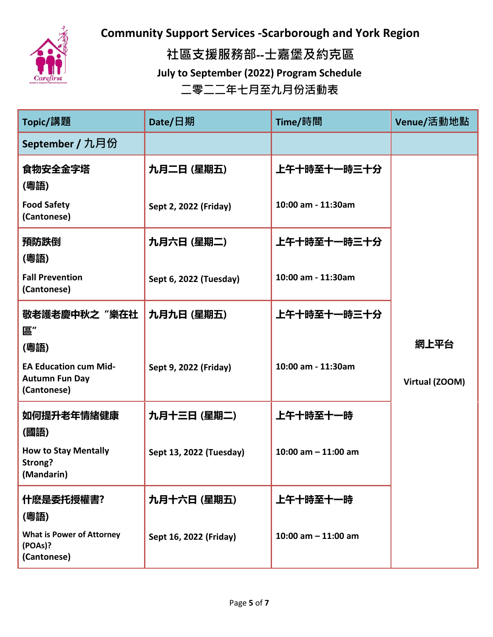

**社區支援服務部--士嘉堡及約克區 July to September (2022) Program Schedule 二零二二年七月至九月份活動表**

| Topic/講題                                                             | Date/日期                 | Time/時間               | Venue/活動地點     |
|----------------------------------------------------------------------|-------------------------|-----------------------|----------------|
| September / 九月份                                                      |                         |                       |                |
| 食物安全金字塔<br>(粵語)                                                      | 九月二日 (星期五)              | 上午十時至十一時三十分           |                |
| <b>Food Safety</b><br>(Cantonese)                                    | Sept 2, 2022 (Friday)   | 10:00 am - 11:30am    |                |
| 預防跌倒<br>(粵語)                                                         | 九月六日 (星期二)              | 上午十時至十一時三十分           |                |
| <b>Fall Prevention</b><br>(Cantonese)                                | Sept 6, 2022 (Tuesday)  | 10:00 am - 11:30am    |                |
| 敬老護老慶中秋之"樂在社<br>區"                                                   | 九月九日 (星期五)              | 上午十時至十一時三十分           |                |
| (粵語)                                                                 |                         |                       | 網上平台           |
| <b>EA Education cum Mid-</b><br><b>Autumn Fun Day</b><br>(Cantonese) | Sept 9, 2022 (Friday)   | 10:00 am - 11:30am    | Virtual (ZOOM) |
| 如何提升老年情緒健康<br>(國語)                                                   | 九月十三日 (星期二)             | 上午十時至十一時              |                |
| <b>How to Stay Mentally</b><br>Strong?<br>(Mandarin)                 | Sept 13, 2022 (Tuesday) | 10:00 am $-$ 11:00 am |                |
| 什麽是委托授權書?<br>(粵語)                                                    | 九月十六日 (星期五)             | 上午十時至十一時              |                |
| <b>What is Power of Attorney</b><br>(POAs)?<br>(Cantonese)           | Sept 16, 2022 (Friday)  | 10:00 am $-$ 11:00 am |                |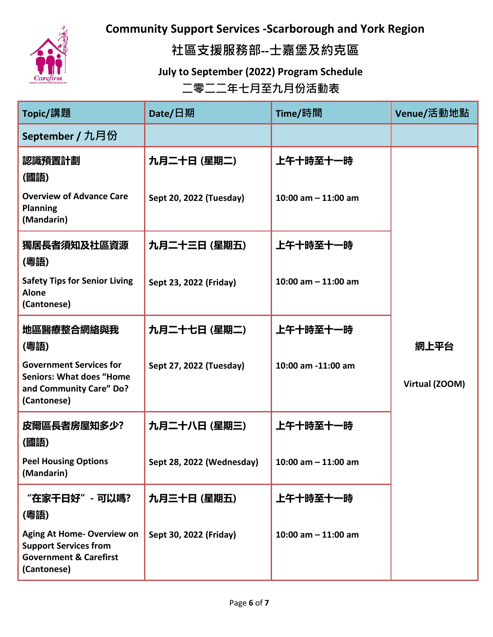

**社區支援服務部--士嘉堡及約克區**

**July to September (2022) Program Schedule**

| Topic/講題                                                                                                              | Date/日期                   | Time/時間               | Venue/活動地點     |
|-----------------------------------------------------------------------------------------------------------------------|---------------------------|-----------------------|----------------|
| September / 九月份                                                                                                       |                           |                       |                |
| 認識預置計劃<br>(國語)                                                                                                        | 九月二十日 (星期二)               | 上午十時至十一時              |                |
| <b>Overview of Advance Care</b><br><b>Planning</b><br>(Mandarin)                                                      | Sept 20, 2022 (Tuesday)   | 10:00 am $-$ 11:00 am |                |
| 獨居長者須知及社區資源<br>(粵語)                                                                                                   | 九月二十三日 (星期五)              | 上午十時至十一時              |                |
| <b>Safety Tips for Senior Living</b><br><b>Alone</b><br>(Cantonese)                                                   | Sept 23, 2022 (Friday)    | 10:00 am $-$ 11:00 am |                |
| 地區醫療整合網絡與我<br>(粵語)                                                                                                    | 九月二十七日 (星期二)              | 上午十時至十一時              | 網上平台           |
| <b>Government Services for</b><br><b>Seniors: What does "Home</b><br>and Community Care" Do?<br>(Cantonese)           | Sept 27, 2022 (Tuesday)   | 10:00 am -11:00 am    | Virtual (ZOOM) |
| 皮爾區長者房屋知多少?<br>(國語)                                                                                                   | 九月二十八日 (星期三)              | 上午十時至十一時              |                |
| <b>Peel Housing Options</b><br>(Mandarin)                                                                             | Sept 28, 2022 (Wednesday) | 10:00 am $-$ 11:00 am |                |
| "在家干日好"- 可以嗎?<br>(粵語)                                                                                                 | 九月三十日 (星期五)               | 上午十時至十一時              |                |
| <b>Aging At Home- Overview on</b><br><b>Support Services from</b><br><b>Government &amp; Carefirst</b><br>(Cantonese) | Sept 30, 2022 (Friday)    | 10:00 am $-$ 11:00 am |                |